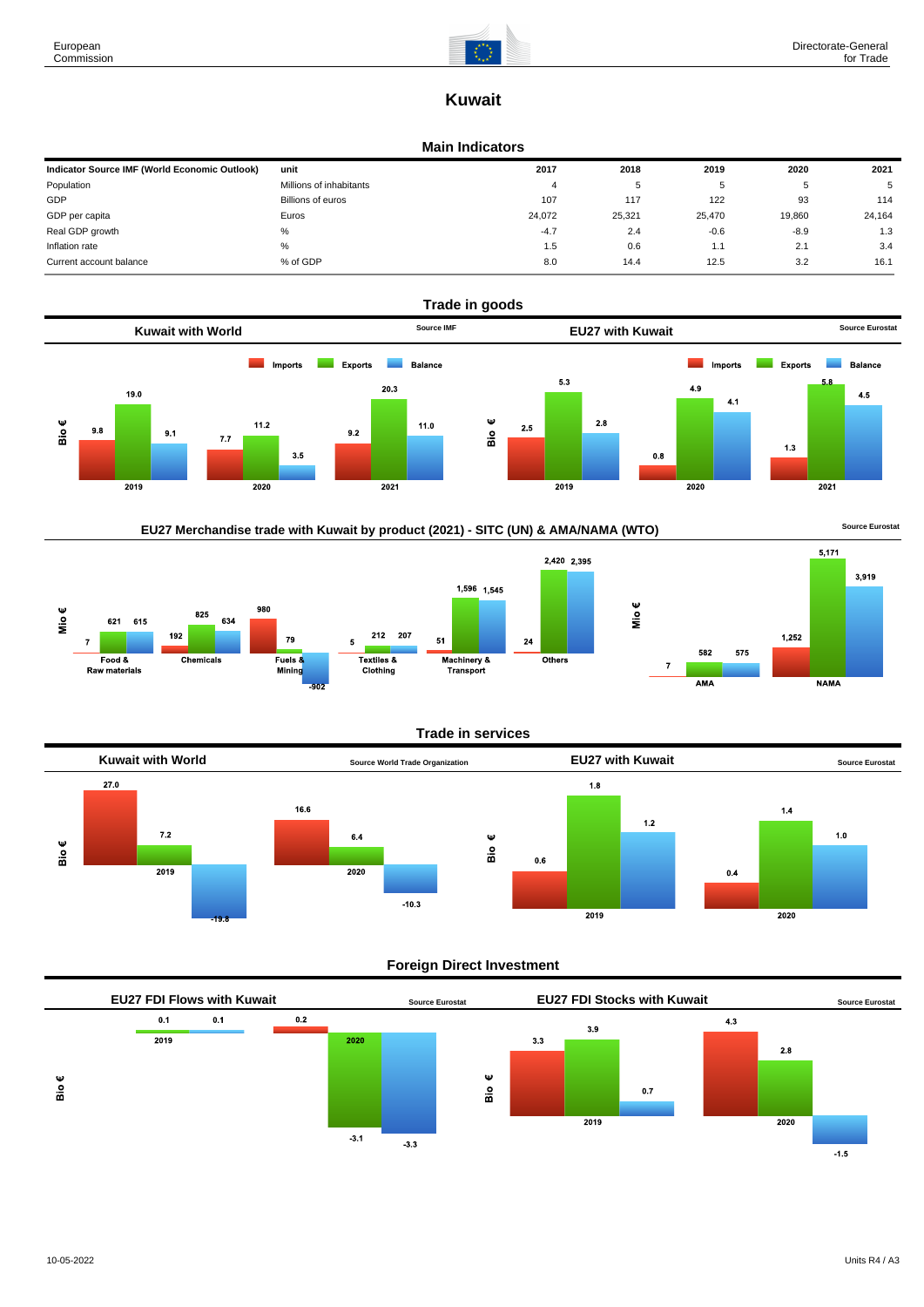

# **Kuwait**

### **Main Indicators**

| Indicator Source IMF (World Economic Outlook) | unit                    | 2017   | 2018   | 2019   | 2020   | 2021   |
|-----------------------------------------------|-------------------------|--------|--------|--------|--------|--------|
| Population                                    | Millions of inhabitants | 4      | 5      |        |        | 5      |
| GDP                                           | Billions of euros       | 107    | 117    | 122    | 93     | 114    |
| GDP per capita                                | Euros                   | 24,072 | 25,321 | 25.470 | 19,860 | 24,164 |
| Real GDP growth                               | %                       | $-4.7$ | 2.4    | $-0.6$ | $-8.9$ | 1.3    |
| Inflation rate                                | %                       | 1.5    | 0.6    | 1.1    | 2.1    | 3.4    |
| Current account balance                       | % of GDP                | 8.0    | 14.4   | 12.5   | 3.2    | 16.1   |



# EU27 Merchandise trade with Kuwait by product (2021) - SITC (UN) & AMA/NAMA (WTO) **Source Eurostat**





# **Trade in services**



# **Foreign Direct Investment**